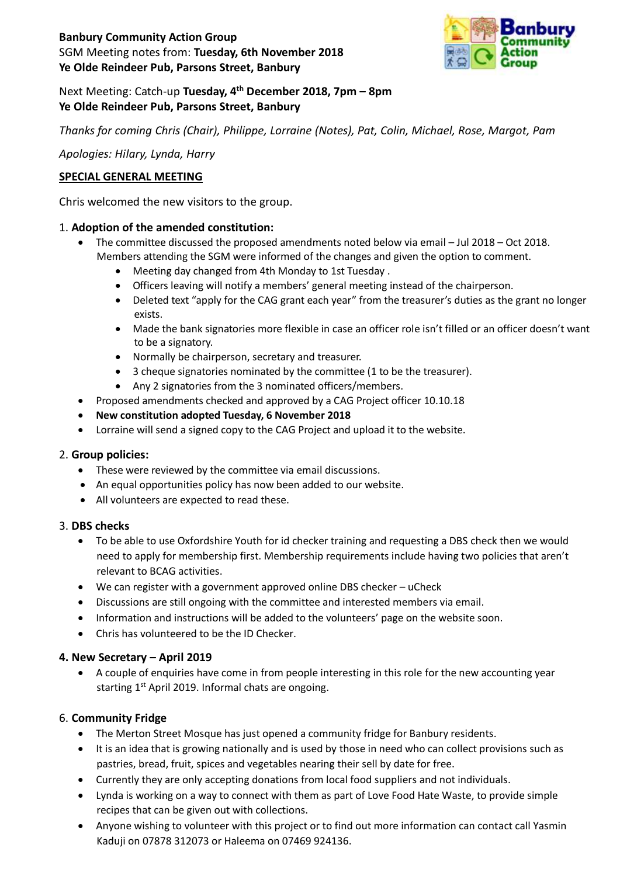# **Banbury Community Action Group**  SGM Meeting notes from: **Tuesday, 6th November 2018 Ye Olde Reindeer Pub, Parsons Street, Banbury**



# Next Meeting: Catch-up **Tuesday, 4 th December 2018, 7pm – 8pm Ye Olde Reindeer Pub, Parsons Street, Banbury**

*Thanks for coming Chris (Chair), Philippe, Lorraine (Notes), Pat, Colin, Michael, Rose, Margot, Pam*

*Apologies: Hilary, Lynda, Harry*

# **SPECIAL GENERAL MEETING**

Chris welcomed the new visitors to the group.

# 1. **Adoption of the amended constitution:**

- The committee discussed the proposed amendments noted below via email Jul 2018 Oct 2018. Members attending the SGM were informed of the changes and given the option to comment.
	- Meeting day changed from 4th Monday to 1st Tuesday .
	- Officers leaving will notify a members' general meeting instead of the chairperson.
	- Deleted text "apply for the CAG grant each year" from the treasurer's duties as the grant no longer exists.
	- Made the bank signatories more flexible in case an officer role isn't filled or an officer doesn't want to be a signatory.
	- Normally be chairperson, secretary and treasurer.
	- 3 cheque signatories nominated by the committee (1 to be the treasurer).
	- Any 2 signatories from the 3 nominated officers/members.
- Proposed amendments checked and approved by a CAG Project officer 10.10.18
- **New constitution adopted Tuesday, 6 November 2018**
- Lorraine will send a signed copy to the CAG Project and upload it to the website.

### 2. **Group policies:**

- These were reviewed by the committee via email discussions.
- An equal opportunities policy has now been added to our website.
- All volunteers are expected to read these.

### 3. **DBS checks**

- To be able to use Oxfordshire Youth for id checker training and requesting a DBS check then we would need to apply for membership first. Membership requirements include having two policies that aren't relevant to BCAG activities.
- We can register with a government approved online DBS checker uCheck
- Discussions are still ongoing with the committee and interested members via email.
- Information and instructions will be added to the volunteers' page on the website soon.
- Chris has volunteered to be the ID Checker.

# **4. New Secretary – April 2019**

 A couple of enquiries have come in from people interesting in this role for the new accounting year starting 1<sup>st</sup> April 2019. Informal chats are ongoing.

# 6. **Community Fridge**

- The Merton Street Mosque has just opened a community fridge for Banbury residents.
- It is an idea that is growing nationally and is used by those in need who can collect provisions such as pastries, bread, fruit, spices and vegetables nearing their sell by date for free.
- Currently they are only accepting donations from local food suppliers and not individuals.
- Lynda is working on a way to connect with them as part of Love Food Hate Waste, to provide simple recipes that can be given out with collections.
- Anyone wishing to volunteer with this project or to find out more information can contact call Yasmin Kaduji on 07878 312073 or Haleema on 07469 924136.